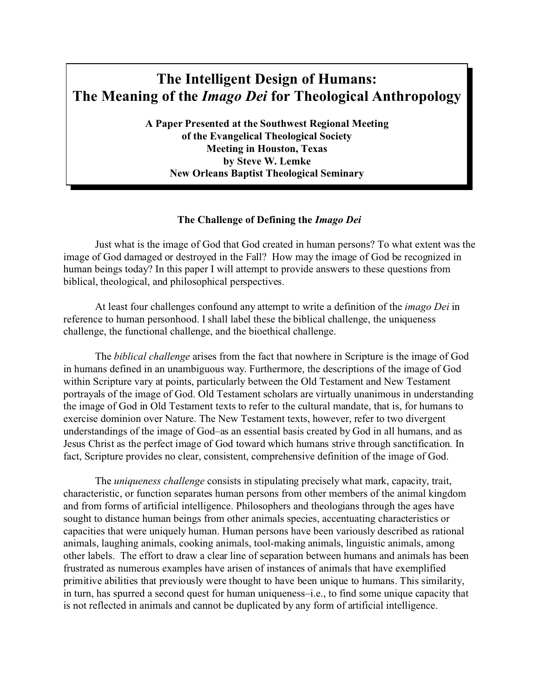# **The Intelligent Design of Humans: The Meaning of the** *Imago Dei* **for Theological Anthropology**

**A Paper Presented at the Southwest Regional Meeting of the Evangelical Theological Society Meeting in Houston, Texas by Steve W. Lemke New Orleans Baptist Theological Seminary**

# **The Challenge of Defining the** *Imago Dei*

Just what is the image of God that God created in human persons? To what extent was the image of God damaged or destroyed in the Fall? How may the image of God be recognized in human beings today? In this paper I will attempt to provide answers to these questions from biblical, theological, and philosophical perspectives.

At least four challenges confound any attempt to write a definition of the *imago Dei* in reference to human personhood. I shall label these the biblical challenge, the uniqueness challenge, the functional challenge, and the bioethical challenge.

The *biblical challenge* arises from the fact that nowhere in Scripture is the image of God in humans defined in an unambiguous way. Furthermore, the descriptions of the image of God within Scripture vary at points, particularly between the Old Testament and New Testament portrayals of the image of God. Old Testament scholars are virtually unanimous in understanding the image of God in Old Testament texts to refer to the cultural mandate, that is, for humans to exercise dominion over Nature. The New Testament texts, however, refer to two divergent understandings of the image of God–as an essential basis created by God in all humans, and as Jesus Christ as the perfect image of God toward which humans strive through sanctification. In fact, Scripture provides no clear, consistent, comprehensive definition of the image of God.

The *uniqueness challenge* consists in stipulating precisely what mark, capacity, trait, characteristic, or function separates human persons from other members of the animal kingdom and from forms of artificial intelligence. Philosophers and theologians through the ages have sought to distance human beings from other animals species, accentuating characteristics or capacities that were uniquely human. Human persons have been variously described as rational animals, laughing animals, cooking animals, tool-making animals, linguistic animals, among other labels. The effort to draw a clear line of separation between humans and animals has been frustrated as numerous examples have arisen of instances of animals that have exemplified primitive abilities that previously were thought to have been unique to humans. This similarity, in turn, has spurred a second quest for human uniqueness–i.e., to find some unique capacity that is not reflected in animals and cannot be duplicated by any form of artificial intelligence.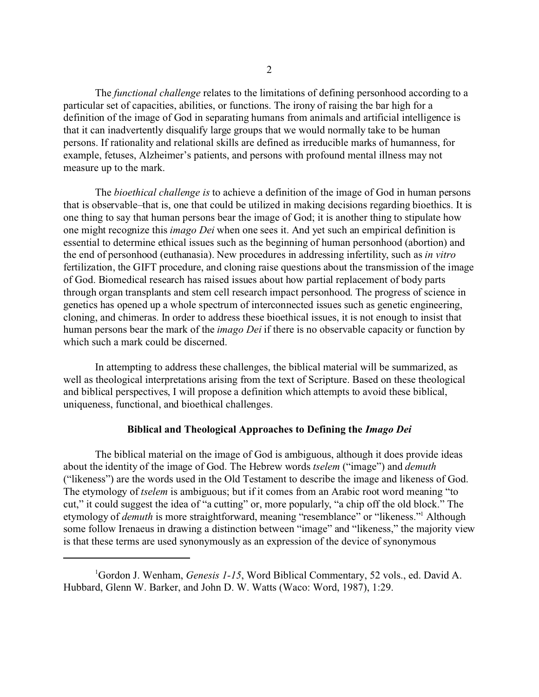The *functional challenge* relates to the limitations of defining personhood according to a particular set of capacities, abilities, or functions. The irony of raising the bar high for a definition of the image of God in separating humans from animals and artificial intelligence is that it can inadvertently disqualify large groups that we would normally take to be human persons. If rationality and relational skills are defined as irreducible marks of humanness, for example, fetuses, Alzheimer's patients, and persons with profound mental illness may not measure up to the mark.

The *bioethical challenge is* to achieve a definition of the image of God in human persons that is observable–that is, one that could be utilized in making decisions regarding bioethics. It is one thing to say that human persons bear the image of God; it is another thing to stipulate how one might recognize this *imago Dei* when one sees it. And yet such an empirical definition is essential to determine ethical issues such as the beginning of human personhood (abortion) and the end of personhood (euthanasia). New procedures in addressing infertility, such as *in vitro* fertilization, the GIFT procedure, and cloning raise questions about the transmission of the image of God. Biomedical research has raised issues about how partial replacement of body parts through organ transplants and stem cell research impact personhood. The progress of science in genetics has opened up a whole spectrum of interconnected issues such as genetic engineering, cloning, and chimeras. In order to address these bioethical issues, it is not enough to insist that human persons bear the mark of the *imago Dei* if there is no observable capacity or function by which such a mark could be discerned.

In attempting to address these challenges, the biblical material will be summarized, as well as theological interpretations arising from the text of Scripture. Based on these theological and biblical perspectives, I will propose a definition which attempts to avoid these biblical, uniqueness, functional, and bioethical challenges.

## **Biblical and Theological Approaches to Defining the** *Imago Dei*

The biblical material on the image of God is ambiguous, although it does provide ideas about the identity of the image of God. The Hebrew words *tselem* ("image") and *demuth* ("likeness") are the words used in the Old Testament to describe the image and likeness of God. The etymology of *tselem* is ambiguous; but if it comes from an Arabic root word meaning "to cut," it could suggest the idea of "a cutting" or, more popularly, "a chip off the old block." The etymology of *demuth* is more straightforward, meaning "resemblance" or "likeness."<sup>1</sup> Although some follow Irenaeus in drawing a distinction between "image" and "likeness," the majority view is that these terms are used synonymously as an expression of the device of synonymous

<sup>&</sup>lt;sup>1</sup>Gordon J. Wenham, *Genesis 1-15*, Word Biblical Commentary, 52 vols., ed. David A. Hubbard, Glenn W. Barker, and John D. W. Watts (Waco: Word, 1987), 1:29.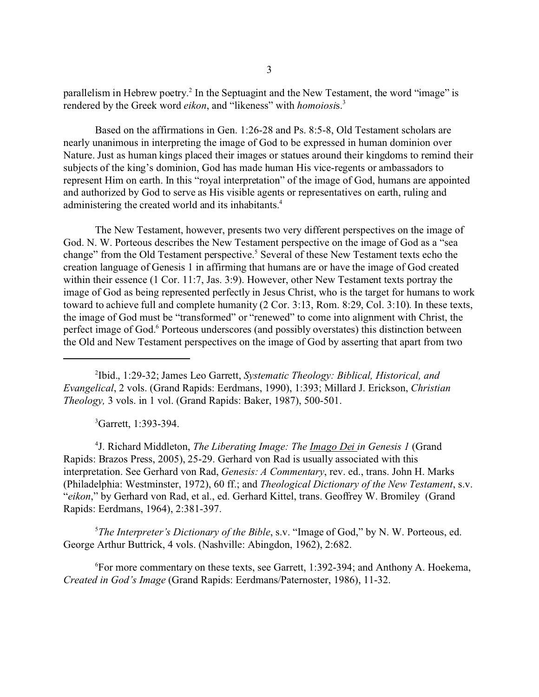parallelism in Hebrew poetry.<sup>2</sup> In the Septuagint and the New Testament, the word "image" is rendered by the Greek word *eikon*, and "likeness" with *homoiosi*s.<sup>3</sup>

Based on the affirmations in Gen. 1:26-28 and Ps. 8:5-8, Old Testament scholars are nearly unanimous in interpreting the image of God to be expressed in human dominion over Nature. Just as human kings placed their images or statues around their kingdoms to remind their subjects of the king's dominion, God has made human His vice-regents or ambassadors to represent Him on earth. In this "royal interpretation" of the image of God, humans are appointed and authorized by God to serve as His visible agents or representatives on earth, ruling and administering the created world and its inhabitants.<sup>4</sup>

The New Testament, however, presents two very different perspectives on the image of God. N. W. Porteous describes the New Testament perspective on the image of God as a "sea change" from the Old Testament perspective.<sup>5</sup> Several of these New Testament texts echo the creation language of Genesis 1 in affirming that humans are or have the image of God created within their essence (1 Cor. 11:7, Jas. 3:9). However, other New Testament texts portray the image of God as being represented perfectly in Jesus Christ, who is the target for humans to work toward to achieve full and complete humanity (2 Cor. 3:13, Rom. 8:29, Col. 3:10). In these texts, the image of God must be "transformed" or "renewed" to come into alignment with Christ, the perfect image of God.<sup>6</sup> Porteous underscores (and possibly overstates) this distinction between the Old and New Testament perspectives on the image of God by asserting that apart from two

2 Ibid., 1:29-32; James Leo Garrett, *Systematic Theology: Biblical, Historical, and Evangelical*, 2 vols. (Grand Rapids: Eerdmans, 1990), 1:393; Millard J. Erickson, *Christian Theology,* 3 vols. in 1 vol. (Grand Rapids: Baker, 1987), 500-501.

<sup>3</sup>Garrett, 1:393-394.

4 J. Richard Middleton, *The Liberating Image: The Imago Dei in Genesis 1* (Grand Rapids: Brazos Press, 2005), 25-29. Gerhard von Rad is usually associated with this interpretation. See Gerhard von Rad, *Genesis: A Commentary*, rev. ed., trans. John H. Marks (Philadelphia: Westminster, 1972), 60 ff.; and *Theological Dictionary of the New Testament*, s.v. "*eikon*," by Gerhard von Rad, et al., ed. Gerhard Kittel, trans. Geoffrey W. Bromiley (Grand Rapids: Eerdmans, 1964), 2:381-397.

<sup>5</sup>*The Interpreter's Dictionary of the Bible*, s.v. "Image of God," by N. W. Porteous, ed. George Arthur Buttrick, 4 vols. (Nashville: Abingdon, 1962), 2:682.

<sup>6</sup>For more commentary on these texts, see Garrett, 1:392-394; and Anthony A. Hoekema, *Created in God's Image* (Grand Rapids: Eerdmans/Paternoster, 1986), 11-32.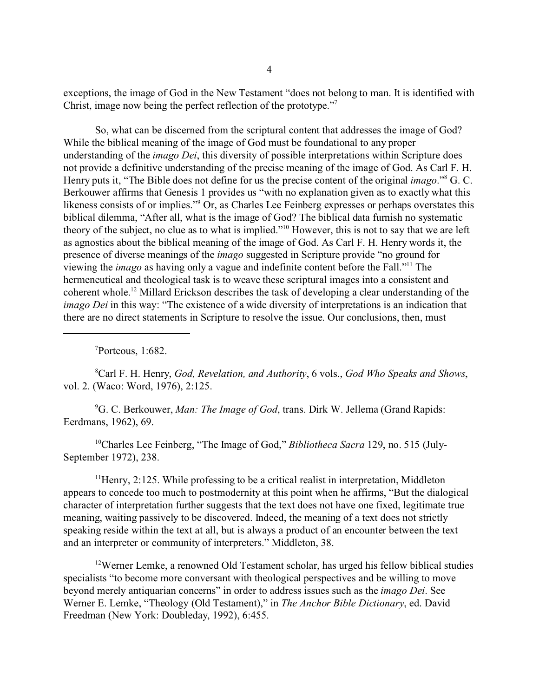exceptions, the image of God in the New Testament "does not belong to man. It is identified with Christ, image now being the perfect reflection of the prototype."<sup>7</sup>

So, what can be discerned from the scriptural content that addresses the image of God? While the biblical meaning of the image of God must be foundational to any proper understanding of the *imago Dei*, this diversity of possible interpretations within Scripture does not provide a definitive understanding of the precise meaning of the image of God. As Carl F. H. Henry puts it, "The Bible does not define for us the precise content of the original *imago*."<sup>8</sup> G. C. Berkouwer affirms that Genesis 1 provides us "with no explanation given as to exactly what this likeness consists of or implies." Or, as Charles Lee Feinberg expresses or perhaps overstates this biblical dilemma, "After all, what is the image of God? The biblical data furnish no systematic theory of the subject, no clue as to what is implied."<sup>10</sup> However, this is not to say that we are left as agnostics about the biblical meaning of the image of God. As Carl F. H. Henry words it, the presence of diverse meanings of the *imago* suggested in Scripture provide "no ground for viewing the *imago* as having only a vague and indefinite content before the Fall."<sup>11</sup> The hermeneutical and theological task is to weave these scriptural images into a consistent and coherent whole.<sup>12</sup> Millard Erickson describes the task of developing a clear understanding of the *imago Dei* in this way: "The existence of a wide diversity of interpretations is an indication that there are no direct statements in Scripture to resolve the issue. Our conclusions, then, must

<sup>7</sup>Porteous, 1:682.

<sup>8</sup>Carl F. H. Henry, *God, Revelation, and Authority*, 6 vols., *God Who Speaks and Shows*, vol. 2. (Waco: Word, 1976), 2:125.

<sup>9</sup>G. C. Berkouwer, *Man: The Image of God*, trans. Dirk W. Jellema (Grand Rapids: Eerdmans, 1962), 69.

10Charles Lee Feinberg, "The Image of God," *Bibliotheca Sacra* 129, no. 515 (July-September 1972), 238.

 $11$ Henry, 2:125. While professing to be a critical realist in interpretation, Middleton appears to concede too much to postmodernity at this point when he affirms, "But the dialogical character of interpretation further suggests that the text does not have one fixed, legitimate true meaning, waiting passively to be discovered. Indeed, the meaning of a text does not strictly speaking reside within the text at all, but is always a product of an encounter between the text and an interpreter or community of interpreters." Middleton, 38.

<sup>12</sup>Werner Lemke, a renowned Old Testament scholar, has urged his fellow biblical studies specialists "to become more conversant with theological perspectives and be willing to move beyond merely antiquarian concerns" in order to address issues such as the *imago Dei*. See Werner E. Lemke, "Theology (Old Testament)," in *The Anchor Bible Dictionary*, ed. David Freedman (New York: Doubleday, 1992), 6:455.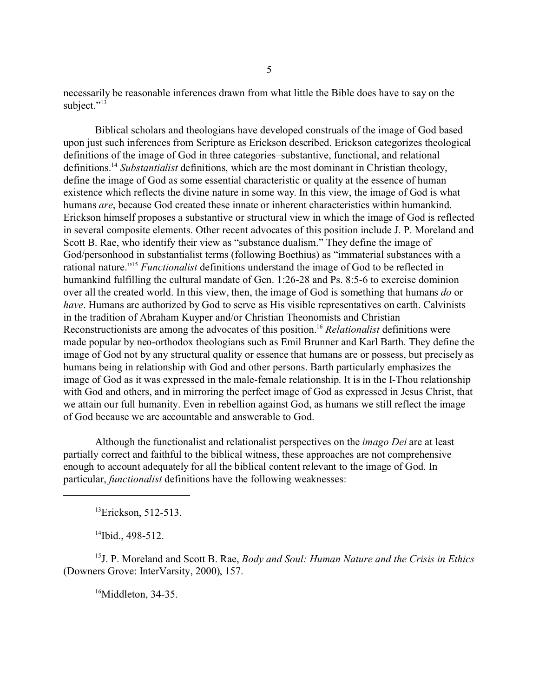necessarily be reasonable inferences drawn from what little the Bible does have to say on the subject."<sup>13</sup>

Biblical scholars and theologians have developed construals of the image of God based upon just such inferences from Scripture as Erickson described. Erickson categorizes theological definitions of the image of God in three categories–substantive, functional, and relational definitions.<sup>14</sup> *Substantialist* definitions, which are the most dominant in Christian theology, define the image of God as some essential characteristic or quality at the essence of human existence which reflects the divine nature in some way. In this view, the image of God is what humans *are*, because God created these innate or inherent characteristics within humankind. Erickson himself proposes a substantive or structural view in which the image of God is reflected in several composite elements. Other recent advocates of this position include J. P. Moreland and Scott B. Rae, who identify their view as "substance dualism." They define the image of God/personhood in substantialist terms (following Boethius) as "immaterial substances with a rational nature."<sup>15</sup> *Functionalist* definitions understand the image of God to be reflected in humankind fulfilling the cultural mandate of Gen. 1:26-28 and Ps. 8:5-6 to exercise dominion over all the created world. In this view, then, the image of God is something that humans *do* or *have*. Humans are authorized by God to serve as His visible representatives on earth. Calvinists in the tradition of Abraham Kuyper and/or Christian Theonomists and Christian Reconstructionists are among the advocates of this position.<sup>16</sup> *Relationalist* definitions were made popular by neo-orthodox theologians such as Emil Brunner and Karl Barth. They define the image of God not by any structural quality or essence that humans are or possess, but precisely as humans being in relationship with God and other persons. Barth particularly emphasizes the image of God as it was expressed in the male-female relationship. It is in the I-Thou relationship with God and others, and in mirroring the perfect image of God as expressed in Jesus Christ, that we attain our full humanity. Even in rebellion against God, as humans we still reflect the image of God because we are accountable and answerable to God.

Although the functionalist and relationalist perspectives on the *imago Dei* are at least partially correct and faithful to the biblical witness, these approaches are not comprehensive enough to account adequately for all the biblical content relevant to the image of God. In particular, *functionalist* definitions have the following weaknesses:

 ${}^{13}$ Erickson, 512-513.

 $14$ Ibid., 498-512.

<sup>15</sup>J. P. Moreland and Scott B. Rae, *Body and Soul: Human Nature and the Crisis in Ethics* (Downers Grove: InterVarsity, 2000), 157.

<sup>16</sup>Middleton, 34-35.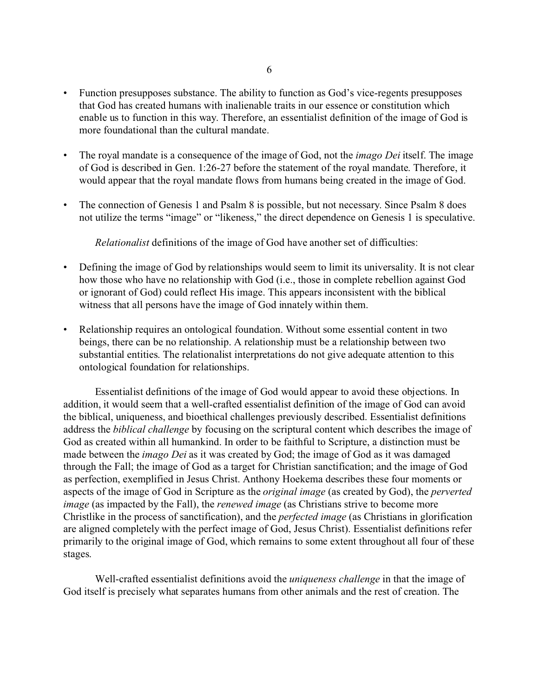- Function presupposes substance. The ability to function as God's vice-regents presupposes that God has created humans with inalienable traits in our essence or constitution which enable us to function in this way. Therefore, an essentialist definition of the image of God is more foundational than the cultural mandate.
- The royal mandate is a consequence of the image of God, not the *imago Dei* itself. The image of God is described in Gen. 1:26-27 before the statement of the royal mandate. Therefore, it would appear that the royal mandate flows from humans being created in the image of God.
- The connection of Genesis 1 and Psalm 8 is possible, but not necessary. Since Psalm 8 does not utilize the terms "image" or "likeness," the direct dependence on Genesis 1 is speculative.

*Relationalist* definitions of the image of God have another set of difficulties:

- Defining the image of God by relationships would seem to limit its universality. It is not clear how those who have no relationship with God (i.e., those in complete rebellion against God or ignorant of God) could reflect His image. This appears inconsistent with the biblical witness that all persons have the image of God innately within them.
- Relationship requires an ontological foundation. Without some essential content in two beings, there can be no relationship. A relationship must be a relationship between two substantial entities. The relationalist interpretations do not give adequate attention to this ontological foundation for relationships.

Essentialist definitions of the image of God would appear to avoid these objections. In addition, it would seem that a well-crafted essentialist definition of the image of God can avoid the biblical, uniqueness, and bioethical challenges previously described. Essentialist definitions address the *biblical challenge* by focusing on the scriptural content which describes the image of God as created within all humankind. In order to be faithful to Scripture, a distinction must be made between the *imago Dei* as it was created by God; the image of God as it was damaged through the Fall; the image of God as a target for Christian sanctification; and the image of God as perfection, exemplified in Jesus Christ. Anthony Hoekema describes these four moments or aspects of the image of God in Scripture as the *original image* (as created by God), the *perverted image* (as impacted by the Fall), the *renewed image* (as Christians strive to become more Christlike in the process of sanctification), and the *perfected image* (as Christians in glorification are aligned completely with the perfect image of God, Jesus Christ). Essentialist definitions refer primarily to the original image of God, which remains to some extent throughout all four of these stages.

Well-crafted essentialist definitions avoid the *uniqueness challenge* in that the image of God itself is precisely what separates humans from other animals and the rest of creation. The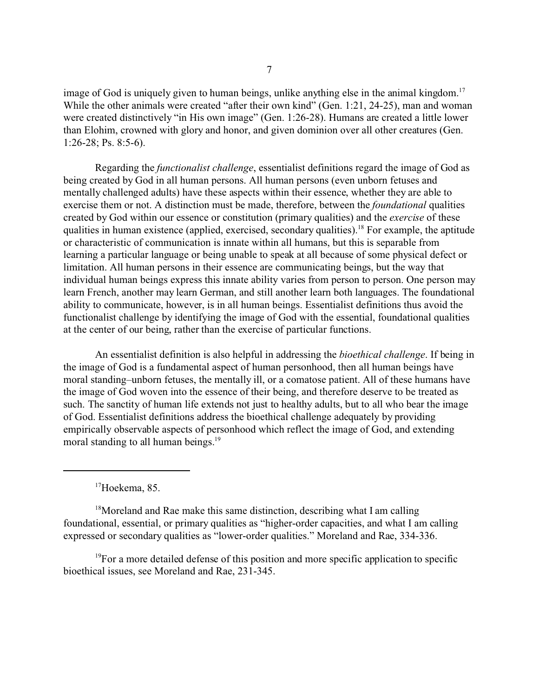image of God is uniquely given to human beings, unlike anything else in the animal kingdom.<sup>17</sup> While the other animals were created "after their own kind" (Gen. 1:21, 24-25), man and woman were created distinctively "in His own image" (Gen. 1:26-28). Humans are created a little lower than Elohim, crowned with glory and honor, and given dominion over all other creatures (Gen. 1:26-28; Ps. 8:5-6).

Regarding the *functionalist challenge*, essentialist definitions regard the image of God as being created by God in all human persons. All human persons (even unborn fetuses and mentally challenged adults) have these aspects within their essence, whether they are able to exercise them or not. A distinction must be made, therefore, between the *foundational* qualities created by God within our essence or constitution (primary qualities) and the *exercise* of these qualities in human existence (applied, exercised, secondary qualities).<sup>18</sup> For example, the aptitude or characteristic of communication is innate within all humans, but this is separable from learning a particular language or being unable to speak at all because of some physical defect or limitation. All human persons in their essence are communicating beings, but the way that individual human beings express this innate ability varies from person to person. One person may learn French, another may learn German, and still another learn both languages. The foundational ability to communicate, however, is in all human beings. Essentialist definitions thus avoid the functionalist challenge by identifying the image of God with the essential, foundational qualities at the center of our being, rather than the exercise of particular functions.

An essentialist definition is also helpful in addressing the *bioethical challenge*. If being in the image of God is a fundamental aspect of human personhood, then all human beings have moral standing–unborn fetuses, the mentally ill, or a comatose patient. All of these humans have the image of God woven into the essence of their being, and therefore deserve to be treated as such. The sanctity of human life extends not just to healthy adults, but to all who bear the image of God. Essentialist definitions address the bioethical challenge adequately by providing empirically observable aspects of personhood which reflect the image of God, and extending moral standing to all human beings.<sup>19</sup>

<sup>17</sup>Hoekema, 85.

<sup>18</sup>Moreland and Rae make this same distinction, describing what I am calling foundational, essential, or primary qualities as "higher-order capacities, and what I am calling expressed or secondary qualities as "lower-order qualities." Moreland and Rae, 334-336.

 $19$ For a more detailed defense of this position and more specific application to specific bioethical issues, see Moreland and Rae, 231-345.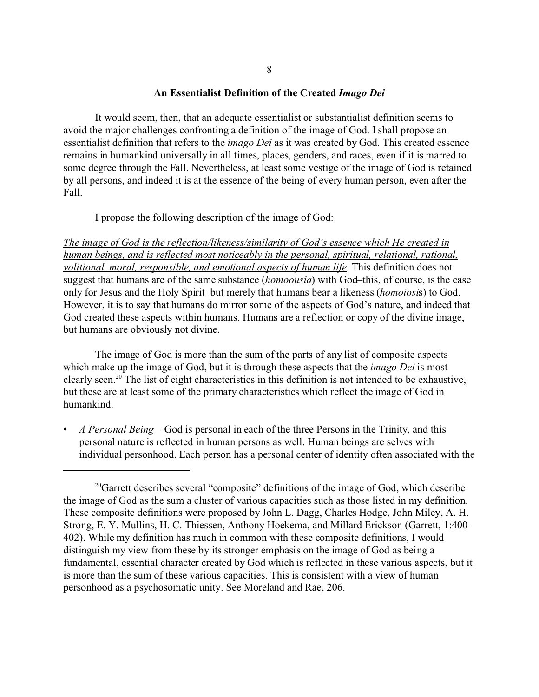### **An Essentialist Definition of the Created** *Imago Dei*

It would seem, then, that an adequate essentialist or substantialist definition seems to avoid the major challenges confronting a definition of the image of God. I shall propose an essentialist definition that refers to the *imago Dei* as it was created by God. This created essence remains in humankind universally in all times, places, genders, and races, even if it is marred to some degree through the Fall. Nevertheless, at least some vestige of the image of God is retained by all persons, and indeed it is at the essence of the being of every human person, even after the Fall.

I propose the following description of the image of God:

*The image of God is the reflection/likeness/similarity of God's essence which He created in human beings, and is reflected most noticeably in the personal, spiritual, relational, rational, volitional, moral, responsible, and emotional aspects of human life*. This definition does not suggest that humans are of the same substance (*homoousia*) with God–this, of course, is the case only for Jesus and the Holy Spirit–but merely that humans bear a likeness (*homoiosi*s) to God. However, it is to say that humans do mirror some of the aspects of God's nature, and indeed that God created these aspects within humans. Humans are a reflection or copy of the divine image, but humans are obviously not divine.

The image of God is more than the sum of the parts of any list of composite aspects which make up the image of God, but it is through these aspects that the *imago Dei* is most clearly seen.<sup>20</sup> The list of eight characteristics in this definition is not intended to be exhaustive, but these are at least some of the primary characteristics which reflect the image of God in humankind.

• *A Personal Being* – God is personal in each of the three Persons in the Trinity, and this personal nature is reflected in human persons as well. Human beings are selves with individual personhood. Each person has a personal center of identity often associated with the

 $20<sup>20</sup>$  Garrett describes several "composite" definitions of the image of God, which describe the image of God as the sum a cluster of various capacities such as those listed in my definition. These composite definitions were proposed by John L. Dagg, Charles Hodge, John Miley, A. H. Strong, E. Y. Mullins, H. C. Thiessen, Anthony Hoekema, and Millard Erickson (Garrett, 1:400- 402). While my definition has much in common with these composite definitions, I would distinguish my view from these by its stronger emphasis on the image of God as being a fundamental, essential character created by God which is reflected in these various aspects, but it is more than the sum of these various capacities. This is consistent with a view of human personhood as a psychosomatic unity. See Moreland and Rae, 206.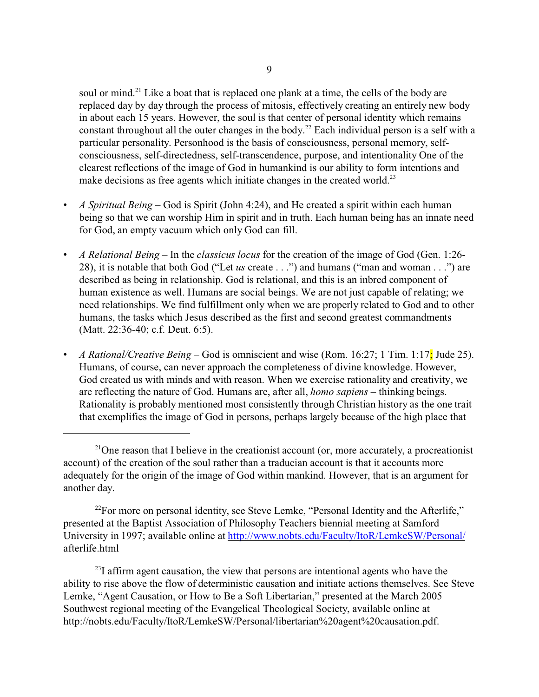soul or mind.<sup>21</sup> Like a boat that is replaced one plank at a time, the cells of the body are replaced day by day through the process of mitosis, effectively creating an entirely new body in about each 15 years. However, the soul is that center of personal identity which remains constant throughout all the outer changes in the body.<sup>22</sup> Each individual person is a self with a particular personality. Personhood is the basis of consciousness, personal memory, selfconsciousness, self-directedness, self-transcendence, purpose, and intentionality One of the clearest reflections of the image of God in humankind is our ability to form intentions and make decisions as free agents which initiate changes in the created world.<sup>23</sup>

- *A Spiritual Being*  God is Spirit (John 4:24), and He created a spirit within each human being so that we can worship Him in spirit and in truth. Each human being has an innate need for God, an empty vacuum which only God can fill.
- *A Relational Being*  In the *classicus locus* for the creation of the image of God (Gen. 1:26- 28), it is notable that both God ("Let *us* create . . .") and humans ("man and woman . . .") are described as being in relationship. God is relational, and this is an inbred component of human existence as well. Humans are social beings. We are not just capable of relating; we need relationships. We find fulfillment only when we are properly related to God and to other humans, the tasks which Jesus described as the first and second greatest commandments (Matt. 22:36-40; c.f. Deut. 6:5).
- *A Rational/Creative Being*  God is omniscient and wise (Rom. 16:27; 1 Tim. 1:17; Jude 25). Humans, of course, can never approach the completeness of divine knowledge. However, God created us with minds and with reason. When we exercise rationality and creativity, we are reflecting the nature of God. Humans are, after all, *homo sapiens* – thinking beings. Rationality is probably mentioned most consistently through Christian history as the one trait that exemplifies the image of God in persons, perhaps largely because of the high place that

<sup>22</sup>For more on personal identity, see Steve Lemke, "Personal Identity and the Afterlife," presented at the Baptist Association of Philosophy Teachers biennial meeting at Samford University in 1997; available online at<http://www.nobts.edu/Faculty/ItoR/LemkeSW/Personal/> afterlife.html

 $23$ I affirm agent causation, the view that persons are intentional agents who have the ability to rise above the flow of deterministic causation and initiate actions themselves. See Steve Lemke, "Agent Causation, or How to Be a Soft Libertarian," presented at the March 2005 Southwest regional meeting of the Evangelical Theological Society, available online at http://nobts.edu/Faculty/ItoR/LemkeSW/Personal/libertarian%20agent%20causation.pdf.

<sup>&</sup>lt;sup>21</sup>One reason that I believe in the creationist account (or, more accurately, a procreationist account) of the creation of the soul rather than a traducian account is that it accounts more adequately for the origin of the image of God within mankind. However, that is an argument for another day.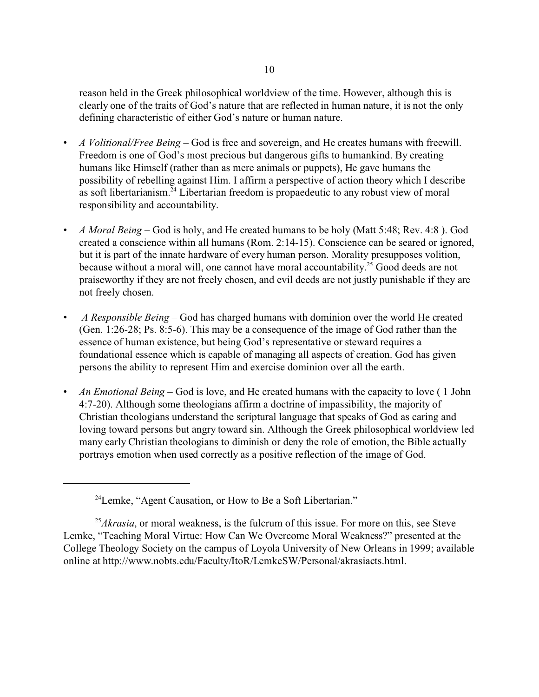reason held in the Greek philosophical worldview of the time. However, although this is clearly one of the traits of God's nature that are reflected in human nature, it is not the only defining characteristic of either God's nature or human nature.

- *A Volitional/Free Being* God is free and sovereign, and He creates humans with freewill. Freedom is one of God's most precious but dangerous gifts to humankind. By creating humans like Himself (rather than as mere animals or puppets), He gave humans the possibility of rebelling against Him. I affirm a perspective of action theory which I describe as soft libertarianism.<sup>24</sup> Libertarian freedom is propaedeutic to any robust view of moral responsibility and accountability.
- *A Moral Being*  God is holy, and He created humans to be holy (Matt 5:48; Rev. 4:8 ). God created a conscience within all humans (Rom. 2:14-15). Conscience can be seared or ignored, but it is part of the innate hardware of every human person. Morality presupposes volition, because without a moral will, one cannot have moral accountability.<sup>25</sup> Good deeds are not praiseworthy if they are not freely chosen, and evil deeds are not justly punishable if they are not freely chosen.
- • *A Responsible Being*  God has charged humans with dominion over the world He created (Gen. 1:26-28; Ps. 8:5-6). This may be a consequence of the image of God rather than the essence of human existence, but being God's representative or steward requires a foundational essence which is capable of managing all aspects of creation. God has given persons the ability to represent Him and exercise dominion over all the earth.
- *An Emotional Being*  God is love, and He created humans with the capacity to love ( 1 John 4:7-20). Although some theologians affirm a doctrine of impassibility, the majority of Christian theologians understand the scriptural language that speaks of God as caring and loving toward persons but angry toward sin. Although the Greek philosophical worldview led many early Christian theologians to diminish or deny the role of emotion, the Bible actually portrays emotion when used correctly as a positive reflection of the image of God.

<sup>24</sup>Lemke, "Agent Causation, or How to Be a Soft Libertarian."

<sup>&</sup>lt;sup>25</sup>*Akrasia*, or moral weakness, is the fulcrum of this issue. For more on this, see Steve Lemke, "Teaching Moral Virtue: How Can We Overcome Moral Weakness?" presented at the College Theology Society on the campus of Loyola University of New Orleans in 1999; available online at http://www.nobts.edu/Faculty/ItoR/LemkeSW/Personal/akrasiacts.html.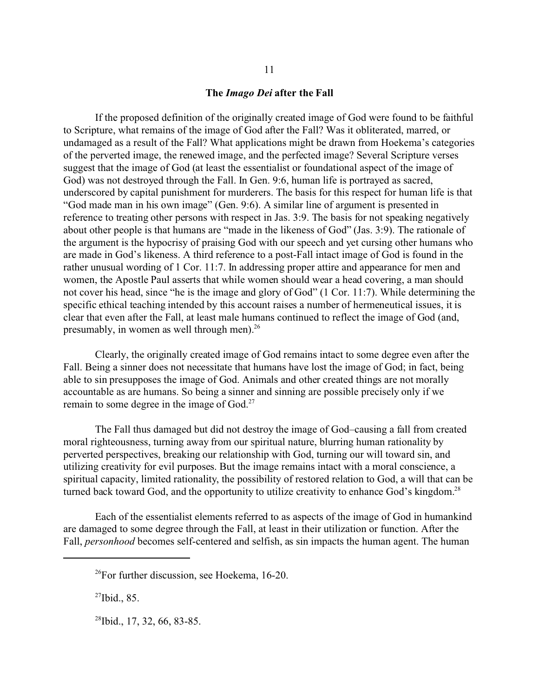### **The** *Imago Dei* **after the Fall**

If the proposed definition of the originally created image of God were found to be faithful to Scripture, what remains of the image of God after the Fall? Was it obliterated, marred, or undamaged as a result of the Fall? What applications might be drawn from Hoekema's categories of the perverted image, the renewed image, and the perfected image? Several Scripture verses suggest that the image of God (at least the essentialist or foundational aspect of the image of God) was not destroyed through the Fall. In Gen. 9:6, human life is portrayed as sacred, underscored by capital punishment for murderers. The basis for this respect for human life is that "God made man in his own image" (Gen. 9:6). A similar line of argument is presented in reference to treating other persons with respect in Jas. 3:9. The basis for not speaking negatively about other people is that humans are "made in the likeness of God" (Jas. 3:9). The rationale of the argument is the hypocrisy of praising God with our speech and yet cursing other humans who are made in God's likeness. A third reference to a post-Fall intact image of God is found in the rather unusual wording of 1 Cor. 11:7. In addressing proper attire and appearance for men and women, the Apostle Paul asserts that while women should wear a head covering, a man should not cover his head, since "he is the image and glory of God" (1 Cor. 11:7). While determining the specific ethical teaching intended by this account raises a number of hermeneutical issues, it is clear that even after the Fall, at least male humans continued to reflect the image of God (and, presumably, in women as well through men).<sup>26</sup>

Clearly, the originally created image of God remains intact to some degree even after the Fall. Being a sinner does not necessitate that humans have lost the image of God; in fact, being able to sin presupposes the image of God. Animals and other created things are not morally accountable as are humans. So being a sinner and sinning are possible precisely only if we remain to some degree in the image of God.<sup>27</sup>

The Fall thus damaged but did not destroy the image of God–causing a fall from created moral righteousness, turning away from our spiritual nature, blurring human rationality by perverted perspectives, breaking our relationship with God, turning our will toward sin, and utilizing creativity for evil purposes. But the image remains intact with a moral conscience, a spiritual capacity, limited rationality, the possibility of restored relation to God, a will that can be turned back toward God, and the opportunity to utilize creativity to enhance God's kingdom.<sup>28</sup>

Each of the essentialist elements referred to as aspects of the image of God in humankind are damaged to some degree through the Fall, at least in their utilization or function. After the Fall, *personhood* becomes self-centered and selfish, as sin impacts the human agent. The human

 $27$ Ibid., 85.

<sup>28</sup>Ibid., 17, 32, 66, 83-85.

 $^{26}$ For further discussion, see Hoekema, 16-20.